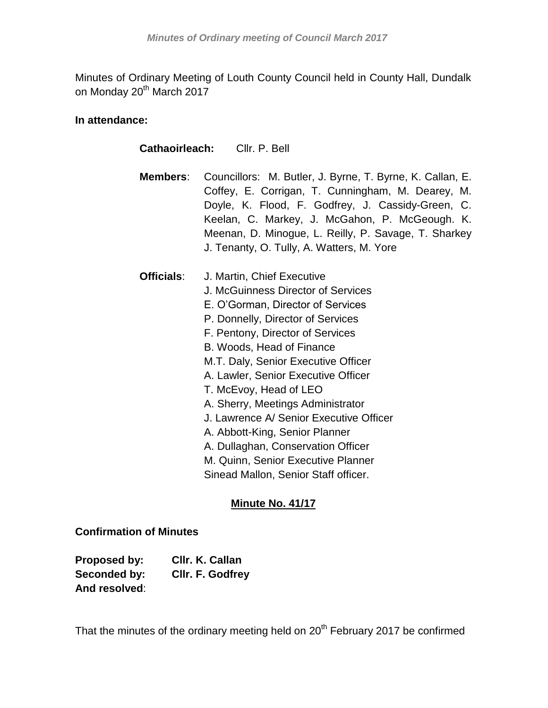Minutes of Ordinary Meeting of Louth County Council held in County Hall, Dundalk on Monday 20<sup>th</sup> March 2017

## **In attendance:**

| <b>Cathaoirleach:</b> Cllr. P. Bell |                                                                                                                                                                                                                                                                                                                                                                                                                                                                                                                                                           |  |
|-------------------------------------|-----------------------------------------------------------------------------------------------------------------------------------------------------------------------------------------------------------------------------------------------------------------------------------------------------------------------------------------------------------------------------------------------------------------------------------------------------------------------------------------------------------------------------------------------------------|--|
| Members:                            | Councillors: M. Butler, J. Byrne, T. Byrne, K. Callan, E.<br>Coffey, E. Corrigan, T. Cunningham, M. Dearey, M.<br>Doyle, K. Flood, F. Godfrey, J. Cassidy-Green, C.<br>Keelan, C. Markey, J. McGahon, P. McGeough. K.<br>Meenan, D. Minogue, L. Reilly, P. Savage, T. Sharkey<br>J. Tenanty, O. Tully, A. Watters, M. Yore                                                                                                                                                                                                                                |  |
| <b>Officials:</b>                   | J. Martin, Chief Executive<br>J. McGuinness Director of Services<br>E. O'Gorman, Director of Services<br>P. Donnelly, Director of Services<br>F. Pentony, Director of Services<br>B. Woods, Head of Finance<br>M.T. Daly, Senior Executive Officer<br>A. Lawler, Senior Executive Officer<br>T. McEvoy, Head of LEO<br>A. Sherry, Meetings Administrator<br>J. Lawrence A/ Senior Executive Officer<br>A. Abbott-King, Senior Planner<br>A. Dullaghan, Conservation Officer<br>M. Quinn, Senior Executive Planner<br>Sinead Mallon, Senior Staff officer. |  |

# **Minute No. 41/17**

# **Confirmation of Minutes**

| Proposed by:  | CIIr. K. Callan  |
|---------------|------------------|
| Seconded by:  | CIIr. F. Godfrey |
| And resolved: |                  |

That the minutes of the ordinary meeting held on 20<sup>th</sup> February 2017 be confirmed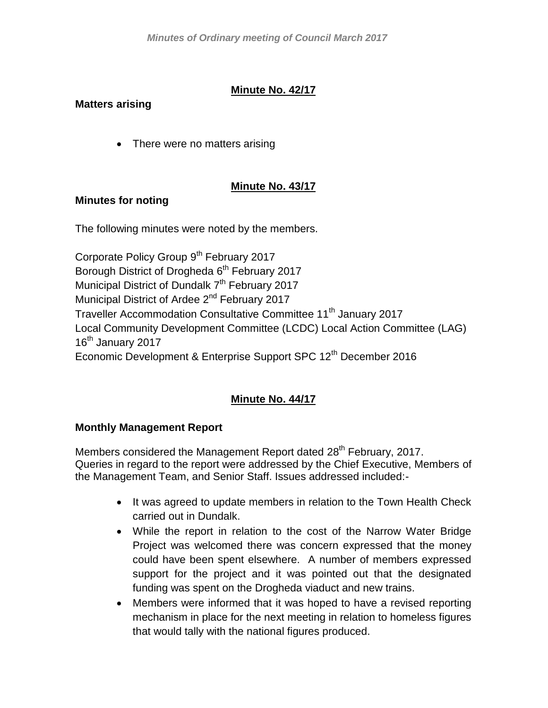# **Minute No. 42/17**

# **Matters arising**

• There were no matters arising

## **Minute No. 43/17**

## **Minutes for noting**

The following minutes were noted by the members.

Corporate Policy Group 9<sup>th</sup> February 2017 Borough District of Drogheda 6<sup>th</sup> February 2017 Municipal District of Dundalk 7<sup>th</sup> February 2017 Municipal District of Ardee 2<sup>nd</sup> February 2017 Traveller Accommodation Consultative Committee 11<sup>th</sup> January 2017 Local Community Development Committee (LCDC) Local Action Committee (LAG) 16<sup>th</sup> January 2017 Economic Development & Enterprise Support SPC 12<sup>th</sup> December 2016

# **Minute No. 44/17**

## **Monthly Management Report**

Members considered the Management Report dated 28<sup>th</sup> February, 2017. Queries in regard to the report were addressed by the Chief Executive, Members of the Management Team, and Senior Staff. Issues addressed included:-

- It was agreed to update members in relation to the Town Health Check carried out in Dundalk.
- While the report in relation to the cost of the Narrow Water Bridge Project was welcomed there was concern expressed that the money could have been spent elsewhere. A number of members expressed support for the project and it was pointed out that the designated funding was spent on the Drogheda viaduct and new trains.
- Members were informed that it was hoped to have a revised reporting mechanism in place for the next meeting in relation to homeless figures that would tally with the national figures produced.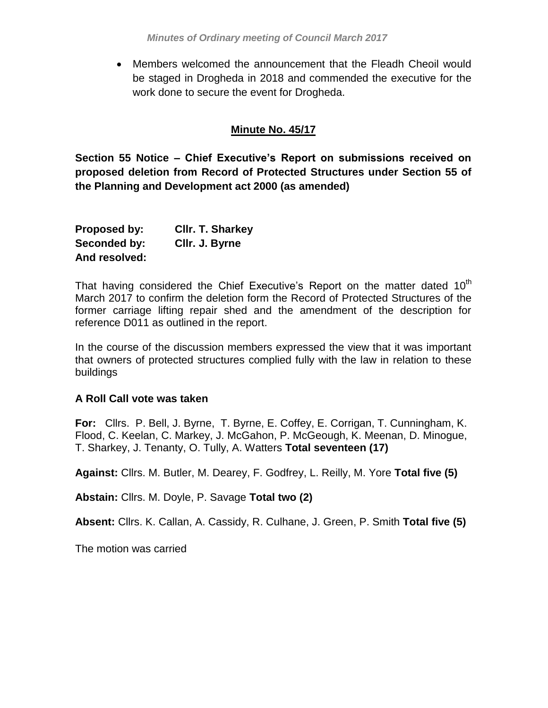Members welcomed the announcement that the Fleadh Cheoil would be staged in Drogheda in 2018 and commended the executive for the work done to secure the event for Drogheda.

### **Minute No. 45/17**

**Section 55 Notice – Chief Executive's Report on submissions received on proposed deletion from Record of Protected Structures under Section 55 of the Planning and Development act 2000 (as amended)**

| Proposed by:  | <b>CIIr. T. Sharkey</b> |
|---------------|-------------------------|
| Seconded by:  | Cllr. J. Byrne          |
| And resolved: |                         |

That having considered the Chief Executive's Report on the matter dated  $10<sup>th</sup>$ March 2017 to confirm the deletion form the Record of Protected Structures of the former carriage lifting repair shed and the amendment of the description for reference D011 as outlined in the report.

In the course of the discussion members expressed the view that it was important that owners of protected structures complied fully with the law in relation to these buildings

#### **A Roll Call vote was taken**

**For:** Cllrs. P. Bell, J. Byrne, T. Byrne, E. Coffey, E. Corrigan, T. Cunningham, K. Flood, C. Keelan, C. Markey, J. McGahon, P. McGeough, K. Meenan, D. Minogue, T. Sharkey, J. Tenanty, O. Tully, A. Watters **Total seventeen (17)**

**Against:** Cllrs. M. Butler, M. Dearey, F. Godfrey, L. Reilly, M. Yore **Total five (5)**

**Abstain:** Cllrs. M. Doyle, P. Savage **Total two (2)**

**Absent:** Cllrs. K. Callan, A. Cassidy, R. Culhane, J. Green, P. Smith **Total five (5)**

The motion was carried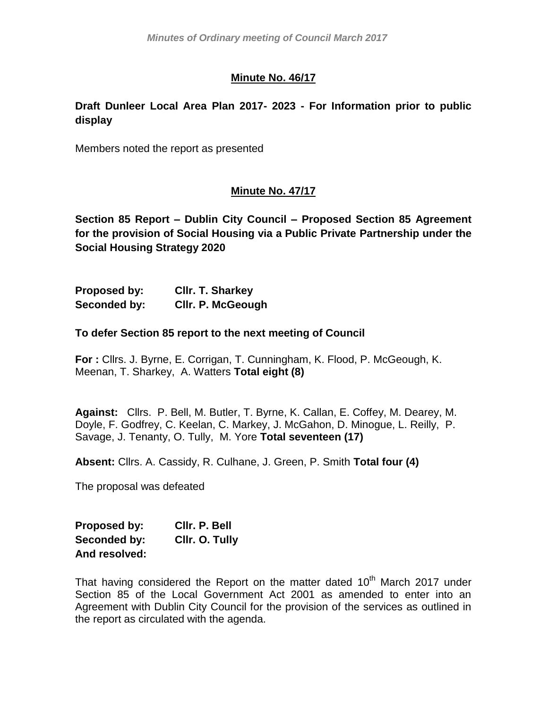## **Minute No. 46/17**

## **Draft Dunleer Local Area Plan 2017- 2023 - For Information prior to public display**

Members noted the report as presented

## **Minute No. 47/17**

**Section 85 Report – Dublin City Council – Proposed Section 85 Agreement for the provision of Social Housing via a Public Private Partnership under the Social Housing Strategy 2020**

**Proposed by: Cllr. T. Sharkey Seconded by: Cllr. P. McGeough**

#### **To defer Section 85 report to the next meeting of Council**

**For :** Cllrs. J. Byrne, E. Corrigan, T. Cunningham, K. Flood, P. McGeough, K. Meenan, T. Sharkey, A. Watters **Total eight (8)**

**Against:** Cllrs. P. Bell, M. Butler, T. Byrne, K. Callan, E. Coffey, M. Dearey, M. Doyle, F. Godfrey, C. Keelan, C. Markey, J. McGahon, D. Minogue, L. Reilly, P. Savage, J. Tenanty, O. Tully, M. Yore **Total seventeen (17)**

**Absent:** Cllrs. A. Cassidy, R. Culhane, J. Green, P. Smith **Total four (4)**

The proposal was defeated

**Proposed by: Cllr. P. Bell Seconded by: Cllr. O. Tully And resolved:**

That having considered the Report on the matter dated  $10<sup>th</sup>$  March 2017 under Section 85 of the Local Government Act 2001 as amended to enter into an Agreement with Dublin City Council for the provision of the services as outlined in the report as circulated with the agenda.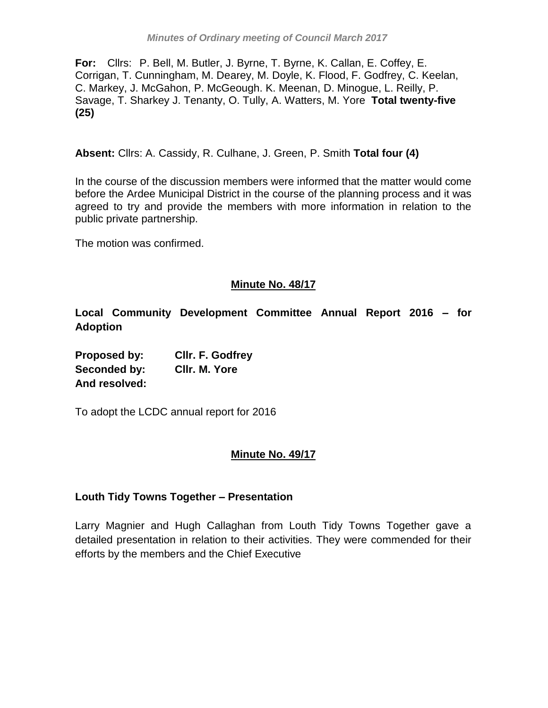**For:** Cllrs: P. Bell, M. Butler, J. Byrne, T. Byrne, K. Callan, E. Coffey, E. Corrigan, T. Cunningham, M. Dearey, M. Doyle, K. Flood, F. Godfrey, C. Keelan, C. Markey, J. McGahon, P. McGeough. K. Meenan, D. Minogue, L. Reilly, P. Savage, T. Sharkey J. Tenanty, O. Tully, A. Watters, M. Yore **Total twenty-five (25)**

**Absent:** Cllrs: A. Cassidy, R. Culhane, J. Green, P. Smith **Total four (4)**

In the course of the discussion members were informed that the matter would come before the Ardee Municipal District in the course of the planning process and it was agreed to try and provide the members with more information in relation to the public private partnership.

The motion was confirmed.

### **Minute No. 48/17**

**Local Community Development Committee Annual Report 2016 – for Adoption**

**Proposed by: Cllr. F. Godfrey Seconded by: Cllr. M. Yore And resolved:**

To adopt the LCDC annual report for 2016

## **Minute No. 49/17**

## **Louth Tidy Towns Together – Presentation**

Larry Magnier and Hugh Callaghan from Louth Tidy Towns Together gave a detailed presentation in relation to their activities. They were commended for their efforts by the members and the Chief Executive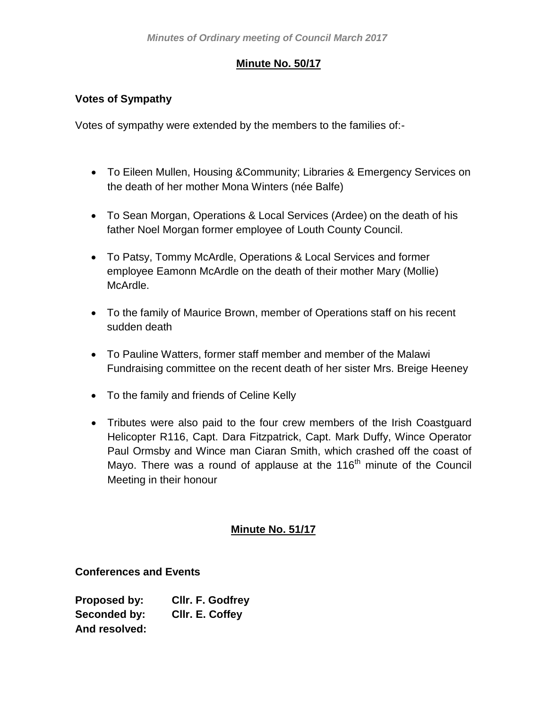## **Minute No. 50/17**

### **Votes of Sympathy**

Votes of sympathy were extended by the members to the families of:-

- To Eileen Mullen, Housing &Community; Libraries & Emergency Services on the death of her mother Mona Winters (née Balfe)
- To Sean Morgan, Operations & Local Services (Ardee) on the death of his father Noel Morgan former employee of Louth County Council.
- To Patsy, Tommy McArdle, Operations & Local Services and former employee Eamonn McArdle on the death of their mother Mary (Mollie) McArdle.
- To the family of Maurice Brown, member of Operations staff on his recent sudden death
- To Pauline Watters, former staff member and member of the Malawi Fundraising committee on the recent death of her sister Mrs. Breige Heeney
- To the family and friends of Celine Kelly
- Tributes were also paid to the four crew members of the Irish Coastguard Helicopter R116, Capt. Dara Fitzpatrick, Capt. Mark Duffy, Wince Operator Paul Ormsby and Wince man Ciaran Smith, which crashed off the coast of Mayo. There was a round of applause at the 116<sup>th</sup> minute of the Council Meeting in their honour

## **Minute No. 51/17**

#### **Conferences and Events**

**Proposed by: Cllr. F. Godfrey Seconded by: Cllr. E. Coffey And resolved:**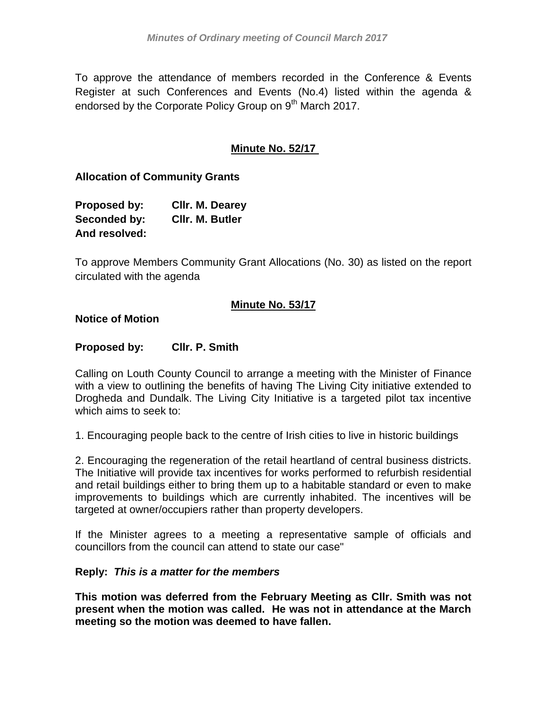To approve the attendance of members recorded in the Conference & Events Register at such Conferences and Events (No.4) listed within the agenda & endorsed by the Corporate Policy Group on 9<sup>th</sup> March 2017.

## **Minute No. 52/17**

### **Allocation of Community Grants**

| Proposed by:  | Cllr. M. Dearey        |
|---------------|------------------------|
| Seconded by:  | <b>CIIr. M. Butler</b> |
| And resolved: |                        |

To approve Members Community Grant Allocations (No. 30) as listed on the report circulated with the agenda

### **Minute No. 53/17**

**Notice of Motion**

### **Proposed by: Cllr. P. Smith**

Calling on Louth County Council to arrange a meeting with the Minister of Finance with a view to outlining the benefits of having The Living City initiative extended to Drogheda and Dundalk. The Living City Initiative is a targeted pilot tax incentive which aims to seek to:

1. Encouraging people back to the centre of Irish cities to live in historic buildings

2. Encouraging the regeneration of the retail heartland of central business districts. The Initiative will provide tax incentives for works performed to refurbish residential and retail buildings either to bring them up to a habitable standard or even to make improvements to buildings which are currently inhabited. The incentives will be targeted at owner/occupiers rather than property developers.

If the Minister agrees to a meeting a representative sample of officials and councillors from the council can attend to state our case"

#### **Reply:** *This is a matter for the members*

**This motion was deferred from the February Meeting as Cllr. Smith was not present when the motion was called. He was not in attendance at the March meeting so the motion was deemed to have fallen.**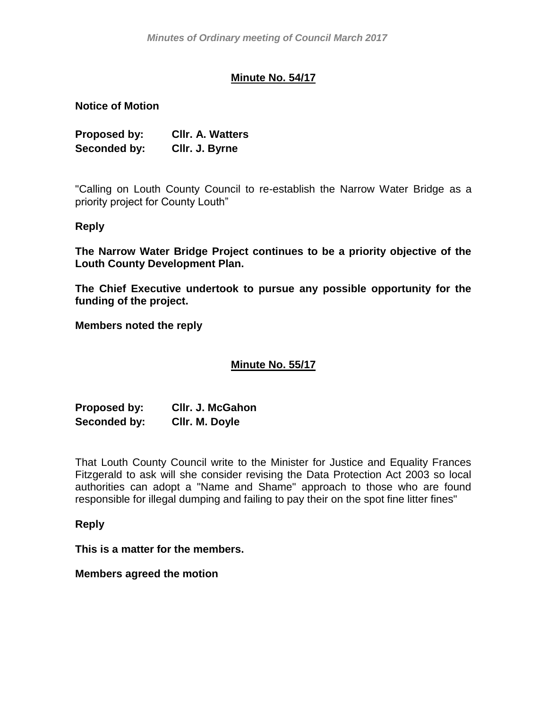## **Minute No. 54/17**

**Notice of Motion**

| Proposed by: | <b>CIIr. A. Watters</b> |
|--------------|-------------------------|
| Seconded by: | CIIr. J. Byrne          |

"Calling on Louth County Council to re-establish the Narrow Water Bridge as a priority project for County Louth"

#### **Reply**

**The Narrow Water Bridge Project continues to be a priority objective of the Louth County Development Plan.**

**The Chief Executive undertook to pursue any possible opportunity for the funding of the project.**

**Members noted the reply**

## **Minute No. 55/17**

**Proposed by: Cllr. J. McGahon Seconded by: Cllr. M. Doyle**

That Louth County Council write to the Minister for Justice and Equality Frances Fitzgerald to ask will she consider revising the Data Protection Act 2003 so local authorities can adopt a "Name and Shame" approach to those who are found responsible for illegal dumping and failing to pay their on the spot fine litter fines"

#### **Reply**

**This is a matter for the members.**

**Members agreed the motion**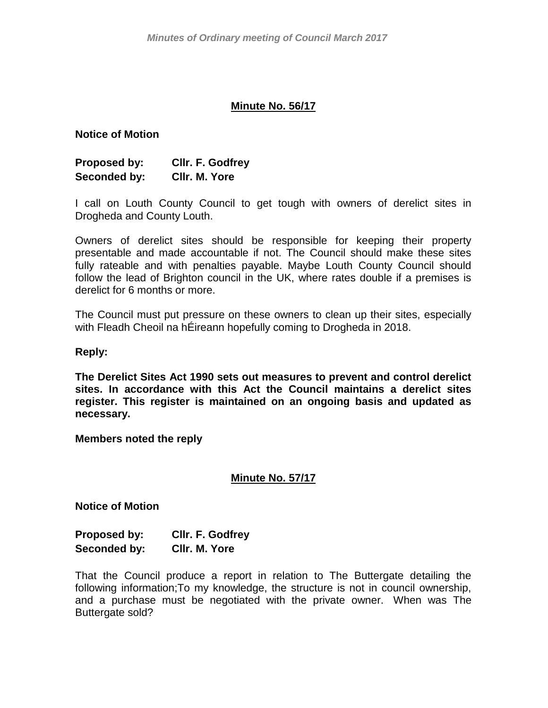#### **Minute No. 56/17**

#### **Notice of Motion**

| Proposed by: | Cllr. F. Godfrey |
|--------------|------------------|
| Seconded by: | CIIr. M. Yore    |

I call on Louth County Council to get tough with owners of derelict sites in Drogheda and County Louth.

Owners of derelict sites should be responsible for keeping their property presentable and made accountable if not. The Council should make these sites fully rateable and with penalties payable. Maybe Louth County Council should follow the lead of Brighton council in the UK, where rates double if a premises is derelict for 6 months or more.

The Council must put pressure on these owners to clean up their sites, especially with Fleadh Cheoil na hÉireann hopefully coming to Drogheda in 2018.

#### **Reply:**

**The Derelict Sites Act 1990 sets out measures to prevent and control derelict sites. In accordance with this Act the Council maintains a derelict sites register. This register is maintained on an ongoing basis and updated as necessary.** 

#### **Members noted the reply**

#### **Minute No. 57/17**

**Notice of Motion**

| Proposed by: | Cllr. F. Godfrey |  |
|--------------|------------------|--|
| Seconded by: | CIIr. M. Yore    |  |

That the Council produce a report in relation to The Buttergate detailing the following information;To my knowledge, the structure is not in council ownership, and a purchase must be negotiated with the private owner. When was The Buttergate sold?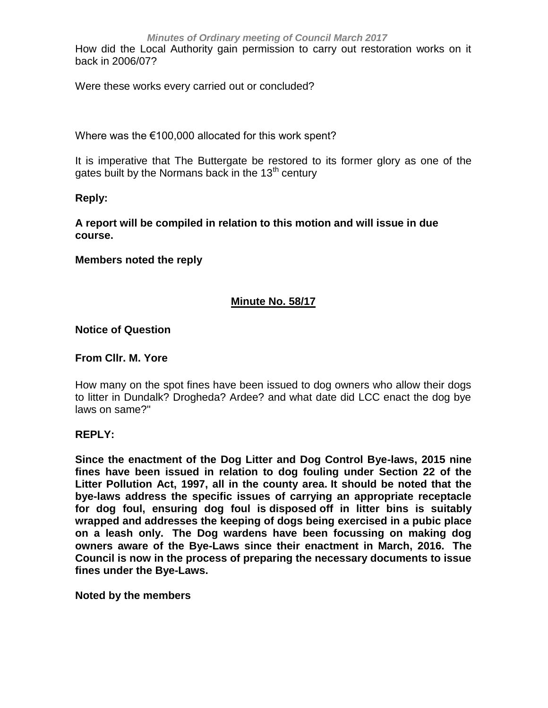How did the Local Authority gain permission to carry out restoration works on it back in 2006/07?

Were these works every carried out or concluded?

Where was the €100,000 allocated for this work spent?

It is imperative that The Buttergate be restored to its former glory as one of the gates built by the Normans back in the  $13<sup>th</sup>$  century

**Reply:**

**A report will be compiled in relation to this motion and will issue in due course.**

**Members noted the reply**

## **Minute No. 58/17**

**Notice of Question**

**From Cllr. M. Yore**

How many on the spot fines have been issued to dog owners who allow their dogs to litter in Dundalk? Drogheda? Ardee? and what date did LCC enact the dog bye laws on same?"

#### **REPLY:**

**Since the enactment of the Dog Litter and Dog Control Bye-laws, 2015 nine fines have been issued in relation to dog fouling under Section 22 of the Litter Pollution Act, 1997, all in the county area. It should be noted that the bye-laws address the specific issues of carrying an appropriate receptacle for dog foul, ensuring dog foul is disposed off in litter bins is suitably wrapped and addresses the keeping of dogs being exercised in a pubic place on a leash only. The Dog wardens have been focussing on making dog owners aware of the Bye-Laws since their enactment in March, 2016. The Council is now in the process of preparing the necessary documents to issue fines under the Bye-Laws.** 

**Noted by the members**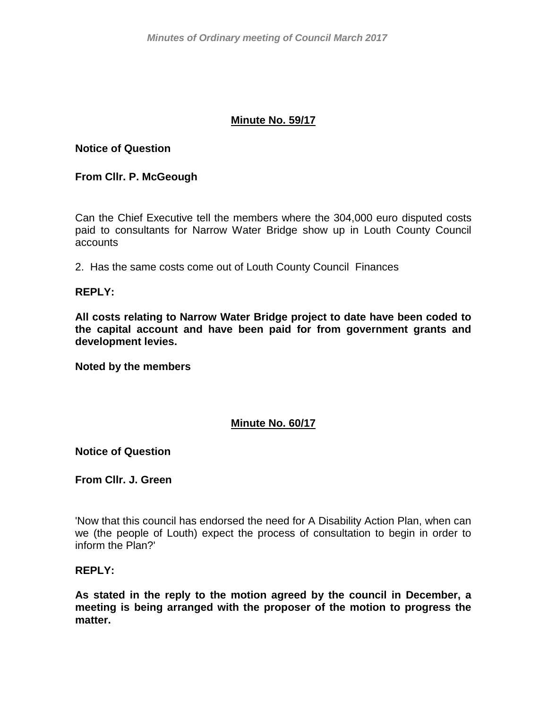### **Minute No. 59/17**

#### **Notice of Question**

#### **From Cllr. P. McGeough**

Can the Chief Executive tell the members where the 304,000 euro disputed costs paid to consultants for Narrow Water Bridge show up in Louth County Council accounts

2. Has the same costs come out of Louth County Council Finances

#### **REPLY:**

**All costs relating to Narrow Water Bridge project to date have been coded to the capital account and have been paid for from government grants and development levies.**

**Noted by the members**

#### **Minute No. 60/17**

**Notice of Question**

**From Cllr. J. Green**

'Now that this council has endorsed the need for A Disability Action Plan, when can we (the people of Louth) expect the process of consultation to begin in order to inform the Plan?'

#### **REPLY:**

**As stated in the reply to the motion agreed by the council in December, a meeting is being arranged with the proposer of the motion to progress the matter.**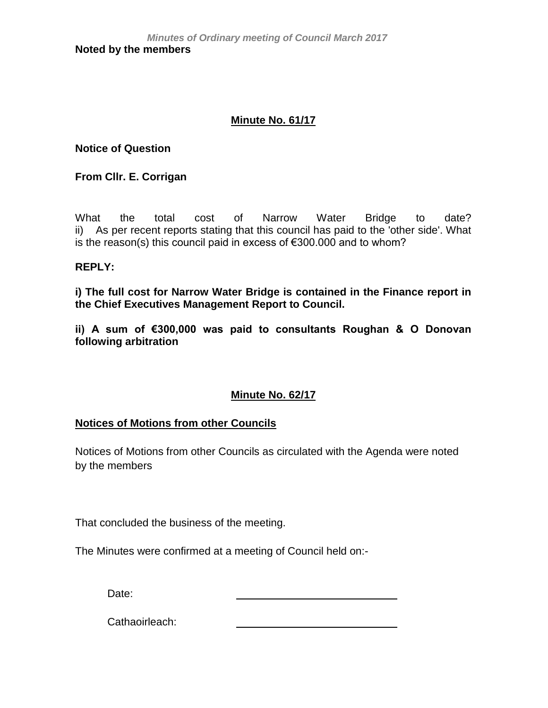## **Minute No. 61/17**

**Notice of Question**

**From Cllr. E. Corrigan**

What the total cost of Narrow Water Bridge to date? ii) As per recent reports stating that this council has paid to the 'other side'. What is the reason(s) this council paid in excess of €300.000 and to whom?

## **REPLY:**

**i) The full cost for Narrow Water Bridge is contained in the Finance report in the Chief Executives Management Report to Council.**

**ii) A sum of €300,000 was paid to consultants Roughan & O Donovan following arbitration**

## **Minute No. 62/17**

#### **Notices of Motions from other Councils**

Notices of Motions from other Councils as circulated with the Agenda were noted by the members

That concluded the business of the meeting.

The Minutes were confirmed at a meeting of Council held on:-

Date:

Cathaoirleach: